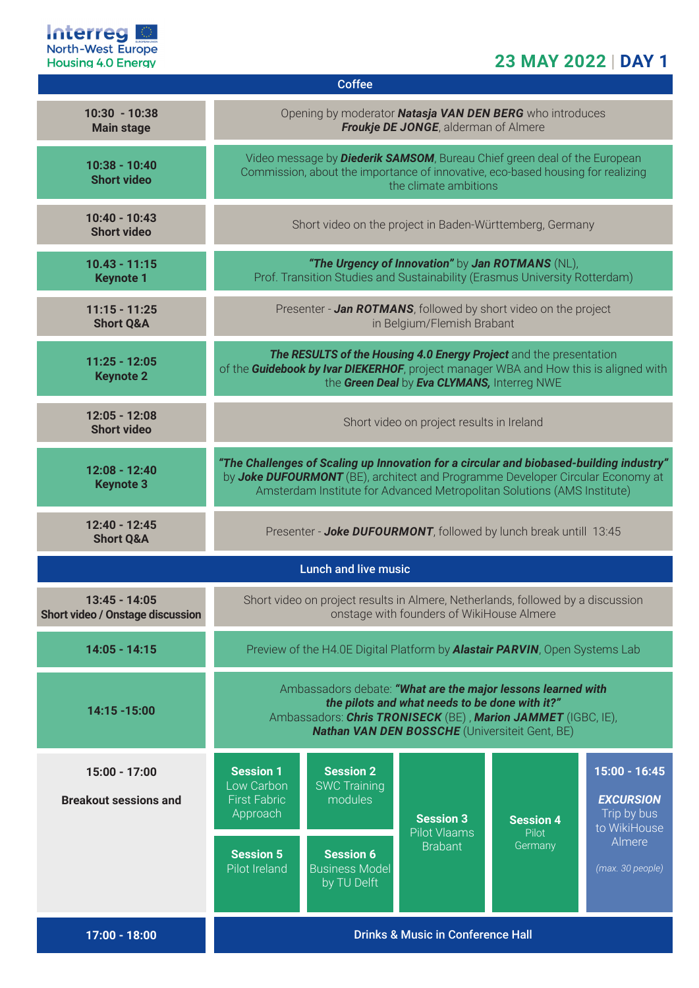

# **23 MAY 2022 | DAY 1**

| <b>Coffee</b>                                     |                                                                                                                                                                                                                                                      |                                                          |                                                           |                                      |                                                                    |  |  |  |
|---------------------------------------------------|------------------------------------------------------------------------------------------------------------------------------------------------------------------------------------------------------------------------------------------------------|----------------------------------------------------------|-----------------------------------------------------------|--------------------------------------|--------------------------------------------------------------------|--|--|--|
| $10:30 - 10:38$<br><b>Main stage</b>              | Opening by moderator <b>Natasja VAN DEN BERG</b> who introduces<br><b>Froukje DE JONGE, alderman of Almere</b>                                                                                                                                       |                                                          |                                                           |                                      |                                                                    |  |  |  |
| $10:38 - 10:40$<br><b>Short video</b>             | Video message by <b>Diederik SAMSOM</b> , Bureau Chief green deal of the European<br>Commission, about the importance of innovative, eco-based housing for realizing<br>the climate ambitions                                                        |                                                          |                                                           |                                      |                                                                    |  |  |  |
| $10:40 - 10:43$<br><b>Short video</b>             | Short video on the project in Baden-Württemberg, Germany                                                                                                                                                                                             |                                                          |                                                           |                                      |                                                                    |  |  |  |
| $10.43 - 11:15$<br><b>Keynote 1</b>               | "The Urgency of Innovation" by Jan ROTMANS (NL),<br>Prof. Transition Studies and Sustainability (Erasmus University Rotterdam)                                                                                                                       |                                                          |                                                           |                                      |                                                                    |  |  |  |
| $11:15 - 11:25$<br><b>Short Q&amp;A</b>           | Presenter - Jan ROTMANS, followed by short video on the project<br>in Belgium/Flemish Brabant                                                                                                                                                        |                                                          |                                                           |                                      |                                                                    |  |  |  |
| $11:25 - 12:05$<br><b>Keynote 2</b>               | The RESULTS of the Housing 4.0 Energy Project and the presentation<br>of the Guidebook by Ivar DIEKERHOF, project manager WBA and How this is aligned with<br>the Green Deal by Eva CLYMANS, Interreg NWE                                            |                                                          |                                                           |                                      |                                                                    |  |  |  |
| $12:05 - 12:08$<br><b>Short video</b>             | Short video on project results in Ireland                                                                                                                                                                                                            |                                                          |                                                           |                                      |                                                                    |  |  |  |
| $12:08 - 12:40$<br><b>Keynote 3</b>               | "The Challenges of Scaling up Innovation for a circular and biobased-building industry"<br>by Joke DUFOURMONT (BE), architect and Programme Developer Circular Economy at<br>Amsterdam Institute for Advanced Metropolitan Solutions (AMS Institute) |                                                          |                                                           |                                      |                                                                    |  |  |  |
| 12:40 - 12:45<br><b>Short Q&amp;A</b>             | Presenter - Joke DUFOURMONT, followed by lunch break untill 13:45                                                                                                                                                                                    |                                                          |                                                           |                                      |                                                                    |  |  |  |
| <b>Lunch and live music</b>                       |                                                                                                                                                                                                                                                      |                                                          |                                                           |                                      |                                                                    |  |  |  |
| 13:45 - 14:05<br>Short video / Onstage discussion | Short video on project results in Almere, Netherlands, followed by a discussion<br>onstage with founders of WikiHouse Almere                                                                                                                         |                                                          |                                                           |                                      |                                                                    |  |  |  |
| $14:05 - 14:15$                                   | Preview of the H4.0E Digital Platform by <b>Alastair PARVIN</b> , Open Systems Lab                                                                                                                                                                   |                                                          |                                                           |                                      |                                                                    |  |  |  |
| 14:15 - 15:00                                     | Ambassadors debate: "What are the major lessons learned with<br>the pilots and what needs to be done with it?"<br>Ambassadors: Chris TRONISECK (BE), Marion JAMMET (IGBC, IE),<br><b>Nathan VAN DEN BOSSCHE</b> (Universiteit Gent, BE)              |                                                          |                                                           |                                      |                                                                    |  |  |  |
| 15:00 - 17:00<br><b>Breakout sessions and</b>     | <b>Session 1</b><br>Low Carbon<br><b>First Fabric</b><br>Approach                                                                                                                                                                                    | <b>Session 2</b><br><b>SWC Training</b><br>modules       | <b>Session 3</b><br><b>Pilot Vlaams</b><br><b>Brabant</b> | <b>Session 4</b><br>Pilot<br>Germany | $15:00 - 16:45$<br><b>EXCURSION</b><br>Trip by bus<br>to WikiHouse |  |  |  |
|                                                   | <b>Session 5</b><br>Pilot Ireland                                                                                                                                                                                                                    | <b>Session 6</b><br><b>Business Model</b><br>by TU Delft |                                                           |                                      | Almere<br>(max. 30 people)                                         |  |  |  |
| $17:00 - 18:00$                                   | <b>Drinks &amp; Music in Conference Hall</b>                                                                                                                                                                                                         |                                                          |                                                           |                                      |                                                                    |  |  |  |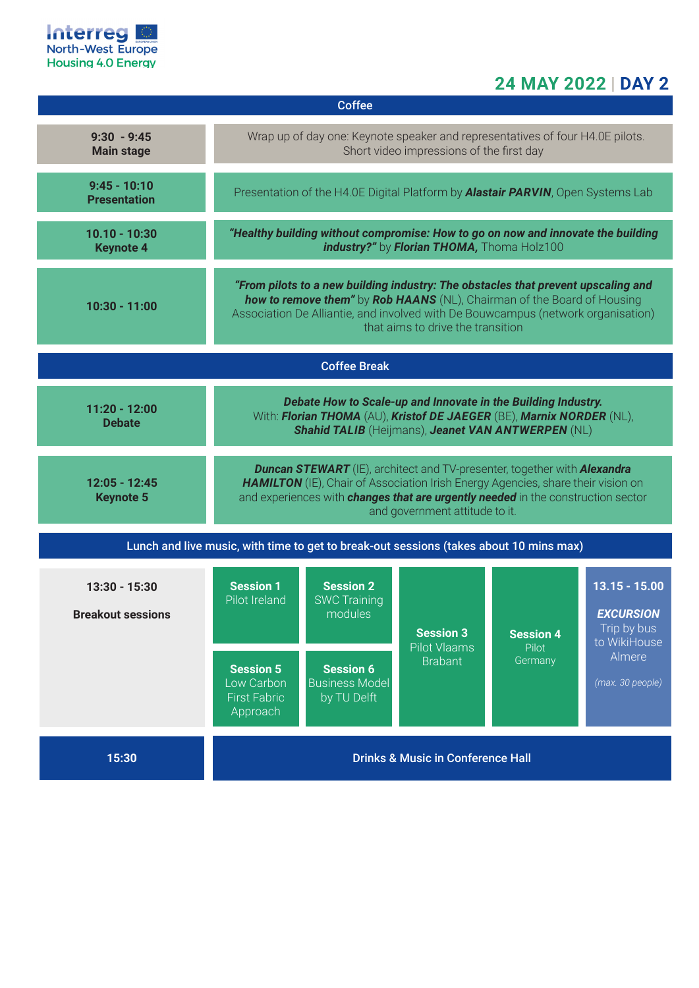

# **24 MAY 2022 | DAY 2**

| <b>Coffee</b>                                                                          |                                                                                                                                                                                                                                                                                                         |                                                                                                                |                                                    |                                      |                                                                                                  |  |  |  |
|----------------------------------------------------------------------------------------|---------------------------------------------------------------------------------------------------------------------------------------------------------------------------------------------------------------------------------------------------------------------------------------------------------|----------------------------------------------------------------------------------------------------------------|----------------------------------------------------|--------------------------------------|--------------------------------------------------------------------------------------------------|--|--|--|
| $9:30 - 9:45$<br><b>Main stage</b>                                                     | Wrap up of day one: Keynote speaker and representatives of four H4.0E pilots.<br>Short video impressions of the first day                                                                                                                                                                               |                                                                                                                |                                                    |                                      |                                                                                                  |  |  |  |
| $9:45 - 10:10$<br><b>Presentation</b>                                                  | Presentation of the H4.0E Digital Platform by <b>Alastair PARVIN</b> , Open Systems Lab                                                                                                                                                                                                                 |                                                                                                                |                                                    |                                      |                                                                                                  |  |  |  |
| $10.10 - 10:30$<br><b>Keynote 4</b>                                                    | "Healthy building without compromise: How to go on now and innovate the building<br>industry?" by Florian THOMA, Thoma Holz100                                                                                                                                                                          |                                                                                                                |                                                    |                                      |                                                                                                  |  |  |  |
| $10:30 - 11:00$                                                                        | "From pilots to a new building industry: The obstacles that prevent upscaling and<br>how to remove them" by Rob HAANS (NL), Chairman of the Board of Housing<br>Association De Alliantie, and involved with De Bouwcampus (network organisation)<br>that aims to drive the transition                   |                                                                                                                |                                                    |                                      |                                                                                                  |  |  |  |
| <b>Coffee Break</b>                                                                    |                                                                                                                                                                                                                                                                                                         |                                                                                                                |                                                    |                                      |                                                                                                  |  |  |  |
| $11:20 - 12:00$<br><b>Debate</b>                                                       | Debate How to Scale-up and Innovate in the Building Industry.<br>With: Florian THOMA (AU), Kristof DE JAEGER (BE), Marnix NORDER (NL),<br><b>Shahid TALIB</b> (Heijmans), Jeanet VAN ANTWERPEN (NL)                                                                                                     |                                                                                                                |                                                    |                                      |                                                                                                  |  |  |  |
| $12:05 - 12:45$<br><b>Keynote 5</b>                                                    | <b>Duncan STEWART</b> (IE), architect and TV-presenter, together with <b>Alexandra</b><br>HAMILTON (IE), Chair of Association Irish Energy Agencies, share their vision on<br>and experiences with <i>changes that are urgently needed</i> in the construction sector<br>and government attitude to it. |                                                                                                                |                                                    |                                      |                                                                                                  |  |  |  |
| Lunch and live music, with time to get to break-out sessions (takes about 10 mins max) |                                                                                                                                                                                                                                                                                                         |                                                                                                                |                                                    |                                      |                                                                                                  |  |  |  |
| 13:30 - 15:30<br><b>Breakout sessions</b>                                              | <b>Session 1</b><br>Pilot Ireland<br><b>Session 5</b><br>Low Carbon<br><b>First Fabric</b><br>Approach                                                                                                                                                                                                  | <b>Session 2</b><br><b>SWC Training</b><br>modules<br><b>Session 6</b><br><b>Business Model</b><br>by TU Delft | <b>Session 3</b><br>Pilot Vlaams<br><b>Brabant</b> | <b>Session 4</b><br>Pilot<br>Germany | $13.15 - 15.00$<br><b>EXCURSION</b><br>Trip by bus<br>to WikiHouse<br>Almere<br>(max. 30 people) |  |  |  |
| 15:30                                                                                  | <b>Drinks &amp; Music in Conference Hall</b>                                                                                                                                                                                                                                                            |                                                                                                                |                                                    |                                      |                                                                                                  |  |  |  |